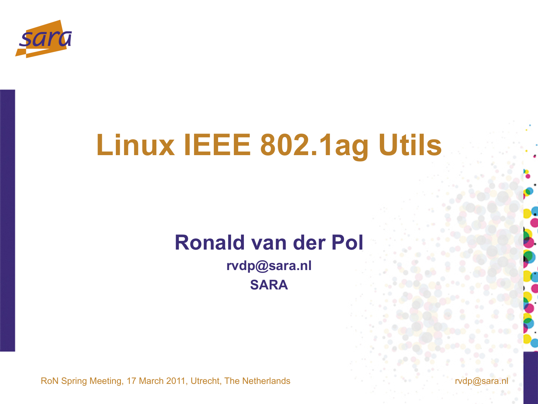

## **Linux IEEE 802.1ag Utils**

### **Ronald van der Pol**

**rvdp@sara.nl SARA** 

RoN Spring Meeting, 17 March 2011, Utrecht, The Netherlands role and research role and role and role and role and role and role and role and role and role and role and role and role and role and role and role and role and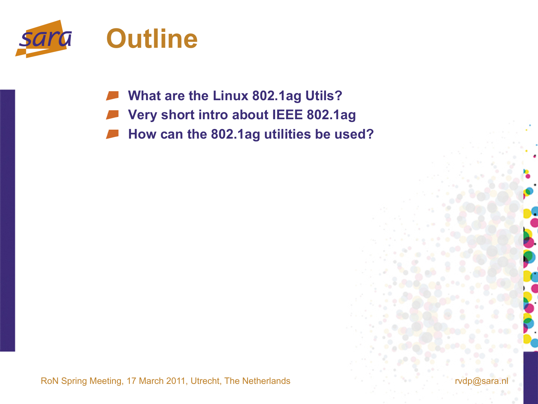

**What are the Linux 802.1ag Utils?** 

- **Very short intro about IEEE 802.1ag**
- **How can the 802.1ag utilities be used?**

RoN Spring Meeting, 17 March 2011, Utrecht, The Netherlands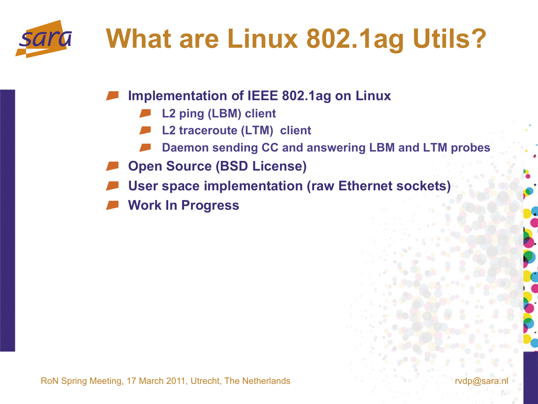

## **What are Linux 802.1ag Utils?**

**Implementation of IEEE 802.1ag on Linux** 

- **L2 ping (LBM) client**
- **L2 traceroute (LTM) client**
- **Daemon sending CC and answering LBM and LTM probes**
- **Open Source (BSD License)**
- **User space implementation (raw Ethernet sockets)**
- **Work In Progress**

RoN Spring Meeting, 17 March 2011, Utrecht, The Netherlands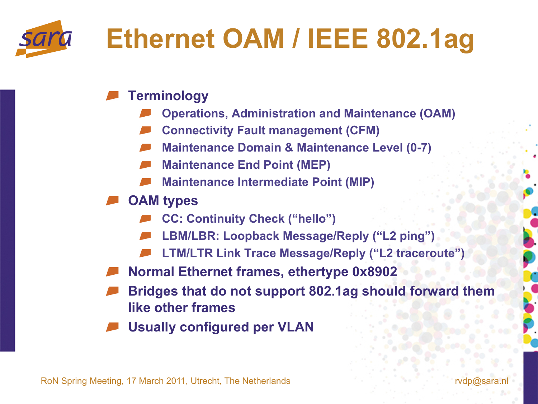# **Ethernet OAM / IEEE 802.1ag**

#### **Terminology**

- **Operations, Administration and Maintenance (OAM)**
- **Connectivity Fault management (CFM)**
- **Maintenance Domain & Maintenance Level (0-7)**
- **Maintenance End Point (MEP)**
- **Maintenance Intermediate Point (MIP)**
- **OAM types** 
	- **CC: Continuity Check ("hello")**
	- **LBM/LBR: Loopback Message/Reply ("L2 ping")**
	- **LTM/LTR Link Trace Message/Reply ("L2 traceroute")**
- **Normal Ethernet frames, ethertype 0x8902**
- **Bridges that do not support 802.1ag should forward them like other frames**
- **Usually configured per VLAN**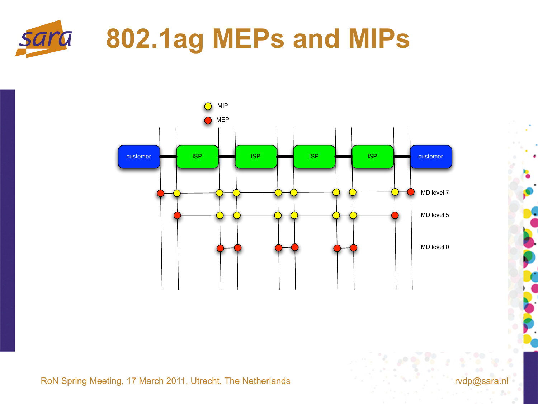

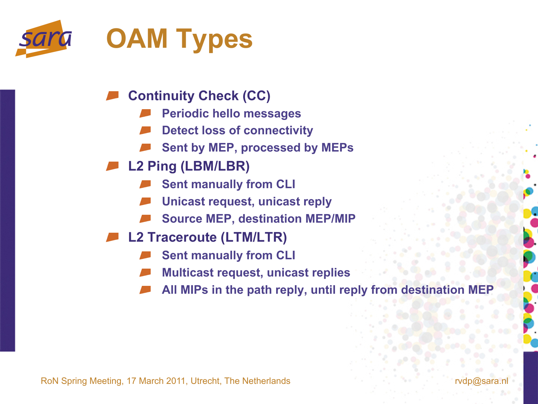

- **Continuity Check (CC)** 
	- **Periodic hello messages**
	- **Detect loss of connectivity**
	- **Sent by MEP, processed by MEPs**
- **L2 Ping (LBM/LBR)** 
	- **Sent manually from CLI**
	- **Unicast request, unicast reply**
	- **Source MEP, destination MEP/MIP**
- **L2 Traceroute (LTM/LTR)** 
	- **Sent manually from CLI**
	- **Multicast request, unicast replies**
	- **All MIPs in the path reply, until reply from destination MEP**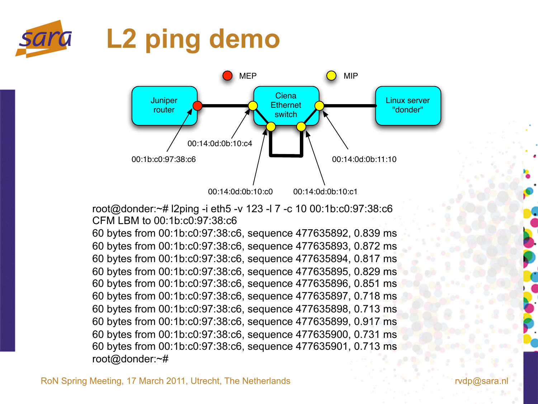



root@donder:~# l2ping -i eth5 -v 123 -l 7 -c 10 00:1b:c0:97:38:c6 CFM LBM to 00:1b:c0:97:38:c6

60 bytes from 00:1b:c0:97:38:c6, sequence 477635892, 0.839 ms 60 bytes from 00:1b:c0:97:38:c6, sequence 477635893, 0.872 ms 60 bytes from 00:1b:c0:97:38:c6, sequence 477635894, 0.817 ms 60 bytes from 00:1b:c0:97:38:c6, sequence 477635895, 0.829 ms 60 bytes from 00:1b:c0:97:38:c6, sequence 477635896, 0.851 ms 60 bytes from 00:1b:c0:97:38:c6, sequence 477635897, 0.718 ms 60 bytes from 00:1b:c0:97:38:c6, sequence 477635898, 0.713 ms 60 bytes from 00:1b:c0:97:38:c6, sequence 477635899, 0.917 ms 60 bytes from 00:1b:c0:97:38:c6, sequence 477635900, 0.731 ms 60 bytes from 00:1b:c0:97:38:c6, sequence 477635901, 0.713 ms root@donder:~#

RoN Spring Meeting, 17 March 2011, Utrecht, The Netherlands rvdp@sara.nl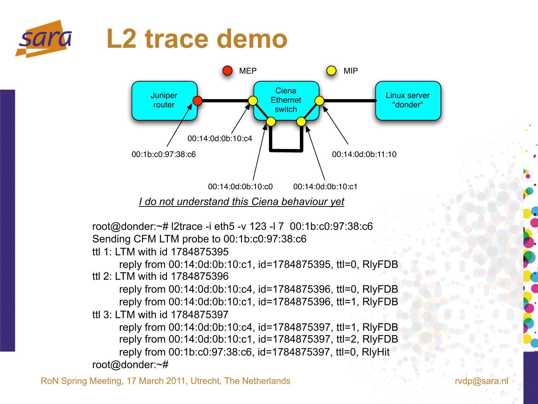



 *I do not understand this Ciena behaviour yet* 

root@donder:~# l2trace -i eth5 -v 123 -l 7 00:1b:c0:97:38:c6 Sending CFM LTM probe to 00:1b:c0:97:38:c6

ttl 1: LTM with id 1784875395

reply from 00:14:0d:0b:10:c1, id=1784875395, ttl=0, RlyFDB ttl 2: LTM with id 1784875396

reply from 00:14:0d:0b:10:c4, id=1784875396, ttl=0, RlyFDB reply from 00:14:0d:0b:10:c1, id=1784875396, ttl=1, RlyFDB ttl 3: LTM with id 1784875397

reply from 00:14:0d:0b:10:c4, id=1784875397, ttl=1, RlyFDB reply from 00:14:0d:0b:10:c1, id=1784875397, ttl=2, RlyFDB reply from 00:1b:c0:97:38:c6, id=1784875397, ttl=0, RlyHit root@donder:~#

RoN Spring Meeting, 17 March 2011, Utrecht, The Netherlands rude of the state of the reduced rough and reduced reduced and reduced reduced and reduced reduced and reduced and reduced and reduced and reduced and reduced and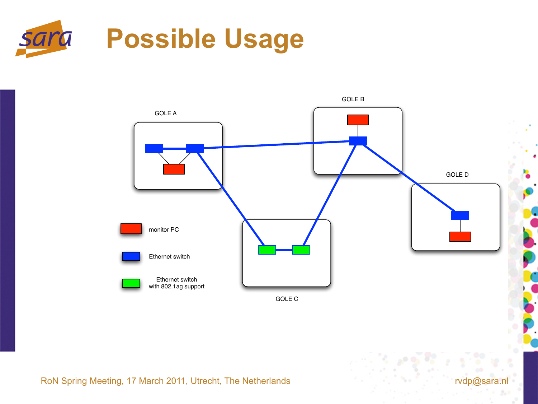



RoN Spring Meeting, 17 March 2011, Utrecht, The Netherlands row and research rough and row rough rough rough rough rough and research rough rough rough rough rough rough rough rough rough rough rough rough rough rough roug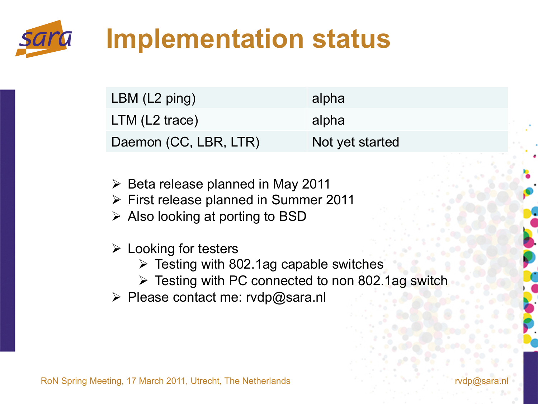

## **Implementation status**

| LBM (L2 ping)         | alpha           |
|-----------------------|-----------------|
| $LTM$ (L2 trace)      | alpha           |
| Daemon (CC, LBR, LTR) | Not yet started |

- $\triangleright$  Beta release planned in May 2011
- $\triangleright$  First release planned in Summer 2011
- $\triangleright$  Also looking at porting to BSD
- $\triangleright$  Looking for testers
	- $\triangleright$  Testing with 802.1ag capable switches
	- $\triangleright$  Testing with PC connected to non 802.1ag switch
- Please contact me: rvdp@sara.nl